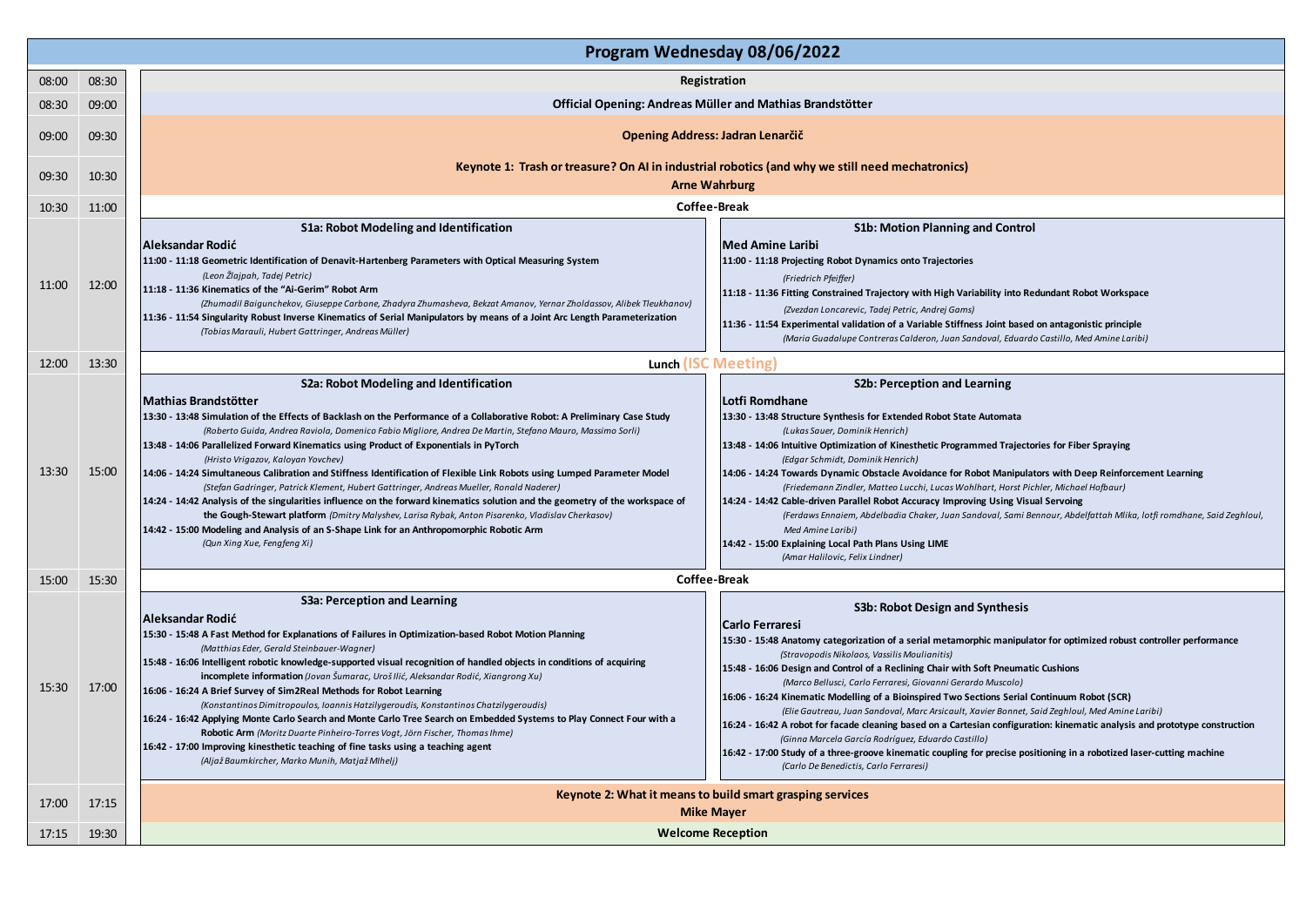|       | Program Wednesday 08/06/2022 |                                                                                                                                                                                                                                                                                                                                                                                                                                                                                                                                                                                                                                                                                                                                                                                                                                                                                                                                                                                                                                                                                                                                                                                                                                                                                                                                                                                                                                                                                                                                                                                                                                                                                                                                                                                                                                                                                          |  |  |  |  |  |
|-------|------------------------------|------------------------------------------------------------------------------------------------------------------------------------------------------------------------------------------------------------------------------------------------------------------------------------------------------------------------------------------------------------------------------------------------------------------------------------------------------------------------------------------------------------------------------------------------------------------------------------------------------------------------------------------------------------------------------------------------------------------------------------------------------------------------------------------------------------------------------------------------------------------------------------------------------------------------------------------------------------------------------------------------------------------------------------------------------------------------------------------------------------------------------------------------------------------------------------------------------------------------------------------------------------------------------------------------------------------------------------------------------------------------------------------------------------------------------------------------------------------------------------------------------------------------------------------------------------------------------------------------------------------------------------------------------------------------------------------------------------------------------------------------------------------------------------------------------------------------------------------------------------------------------------------|--|--|--|--|--|
| 08:00 | 08:30                        | Registration                                                                                                                                                                                                                                                                                                                                                                                                                                                                                                                                                                                                                                                                                                                                                                                                                                                                                                                                                                                                                                                                                                                                                                                                                                                                                                                                                                                                                                                                                                                                                                                                                                                                                                                                                                                                                                                                             |  |  |  |  |  |
| 08:30 | 09:00                        | Official Opening: Andreas Müller and Mathias Brandstötter                                                                                                                                                                                                                                                                                                                                                                                                                                                                                                                                                                                                                                                                                                                                                                                                                                                                                                                                                                                                                                                                                                                                                                                                                                                                                                                                                                                                                                                                                                                                                                                                                                                                                                                                                                                                                                |  |  |  |  |  |
| 09:00 | 09:30                        | <b>Opening Address: Jadran Lenarčič</b>                                                                                                                                                                                                                                                                                                                                                                                                                                                                                                                                                                                                                                                                                                                                                                                                                                                                                                                                                                                                                                                                                                                                                                                                                                                                                                                                                                                                                                                                                                                                                                                                                                                                                                                                                                                                                                                  |  |  |  |  |  |
| 09:30 | 10:30                        | Keynote 1: Trash or treasure? On AI in industrial robotics (and why we still need mechatronics)<br><b>Arne Wahrburg</b>                                                                                                                                                                                                                                                                                                                                                                                                                                                                                                                                                                                                                                                                                                                                                                                                                                                                                                                                                                                                                                                                                                                                                                                                                                                                                                                                                                                                                                                                                                                                                                                                                                                                                                                                                                  |  |  |  |  |  |
| 10:30 | 11:00                        | <b>Coffee-Break</b>                                                                                                                                                                                                                                                                                                                                                                                                                                                                                                                                                                                                                                                                                                                                                                                                                                                                                                                                                                                                                                                                                                                                                                                                                                                                                                                                                                                                                                                                                                                                                                                                                                                                                                                                                                                                                                                                      |  |  |  |  |  |
| 11:00 | 12:00                        | S1a: Robot Modeling and Identification<br><b>S1b: Motion Planning and Control</b><br>Aleksandar Rodić<br>Med Amine Laribi<br>11:00 - 11:18 Projecting Robot Dynamics onto Trajectories<br>11:00 - 11:18 Geometric Identification of Denavit-Hartenberg Parameters with Optical Measuring System<br>(Leon Žlajpah, Tadej Petric)<br>(Friedrich Pfeiffer)<br>11:18 - 11:36 Kinematics of the "Ai-Gerim" Robot Arm<br>11:18 - 11:36 Fitting Constrained Trajectory with High Variability into Redundant Robot Workspace<br>(Zhumadil Baigunchekov, Giuseppe Carbone, Zhadyra Zhumasheva, Bekzat Amanov, Yernar Zholdassov, Alibek Tleukhanov)<br>(Zvezdan Loncarevic, Tadej Petric, Andrej Gams)<br>11:36 - 11:54 Singularity Robust Inverse Kinematics of Serial Manipulators by means of a Joint Arc Length Parameterization<br>11:36 - 11:54 Experimental validation of a Variable Stiffness Joint based on antagonistic principle<br>(Tobias Marauli, Hubert Gattringer, Andreas Müller)<br>(Maria Guadalupe Contreras Calderon, Juan Sandoval, Eduardo Castillo, Med Amine Laribi)                                                                                                                                                                                                                                                                                                                                                                                                                                                                                                                                                                                                                                                                                                                                                                                                     |  |  |  |  |  |
| 12:00 | 13:30                        | Lunch (ISC Meeting)                                                                                                                                                                                                                                                                                                                                                                                                                                                                                                                                                                                                                                                                                                                                                                                                                                                                                                                                                                                                                                                                                                                                                                                                                                                                                                                                                                                                                                                                                                                                                                                                                                                                                                                                                                                                                                                                      |  |  |  |  |  |
| 13:30 | 15:00                        | S2a: Robot Modeling and Identification<br>S2b: Perception and Learning<br>Mathias Brandstötter<br>lLotfi Romdhane<br>13:30 - 13:48 Structure Synthesis for Extended Robot State Automata<br>13:30 - 13:48 Simulation of the Effects of Backlash on the Performance of a Collaborative Robot: A Preliminary Case Study<br>(Roberto Guida, Andrea Raviola, Domenico Fabio Migliore, Andrea De Martin, Stefano Mauro, Massimo Sorli)<br>(Lukas Sauer, Dominik Henrich)<br>13:48 - 14:06 Parallelized Forward Kinematics using Product of Exponentials in PyTorch<br>13:48 - 14:06 Intuitive Optimization of Kinesthetic Programmed Trajectories for Fiber Spraying<br>(Hristo Vrigazov, Kaloyan Yovchev)<br>(Edgar Schmidt, Dominik Henrich)<br>14:06 - 14:24 Simultaneous Calibration and Stiffness Identification of Flexible Link Robots using Lumped Parameter Model<br>14:06 - 14:24 Towards Dynamic Obstacle Avoidance for Robot Manipulators with Deep Reinforcement Learning<br>(Friedemann Zindler, Matteo Lucchi, Lucas Wohlhart, Horst Pichler, Michael Hofbaur)<br>(Stefan Gadringer, Patrick Klement, Hubert Gattringer, Andreas Mueller, Ronald Naderer)<br>14:24 - 14:42 Analysis of the singularities influence on the forward kinematics solution and the geometry of the workspace of<br>14:24 - 14:42 Cable-driven Parallel Robot Accuracy Improving Using Visual Servoing<br>the Gough-Stewart platform (Dmitry Malyshev, Larisa Rybak, Anton Pisarenko, Vladislav Cherkasov)<br>(Ferdaws Ennaiem, Abdelbadia Chaker, Juan Sandoval, Sami Bennour, Abdelfattah Mlika, lotfi romdhane, Said Zeghloul,<br>14:42 - 15:00 Modeling and Analysis of an S-Shape Link for an Anthropomorphic Robotic Arm<br>Med Amine Laribi)<br>(Qun Xing Xue, Fengfeng Xi)<br>14:42 - 15:00 Explaining Local Path Plans Using LIME<br>(Amar Halilovic, Felix Lindner)                        |  |  |  |  |  |
| 15:00 | 15:30                        | <b>Coffee-Break</b>                                                                                                                                                                                                                                                                                                                                                                                                                                                                                                                                                                                                                                                                                                                                                                                                                                                                                                                                                                                                                                                                                                                                                                                                                                                                                                                                                                                                                                                                                                                                                                                                                                                                                                                                                                                                                                                                      |  |  |  |  |  |
| 15:30 | 17:00                        | S3a: Perception and Learning<br>S3b: Robot Design and Synthesis<br>Aleksandar Rodić<br><b>Carlo Ferraresi</b><br>15:30 - 15:48 A Fast Method for Explanations of Failures in Optimization-based Robot Motion Planning<br>15:30 - 15:48 Anatomy categorization of a serial metamorphic manipulator for optimized robust controller performance<br>(Matthias Eder, Gerald Steinbauer-Wagner)<br>(Stravopodis Nikolaos, Vassilis Moulianitis)<br>15:48 - 16:06 Intelligent robotic knowledge-supported visual recognition of handled objects in conditions of acquiring<br>15:48 - 16:06 Design and Control of a Reclining Chair with Soft Pneumatic Cushions<br>incomplete information (Jovan Šumarac, Uroš Ilić, Aleksandar Rodić, Xiangrong Xu)<br>(Marco Bellusci, Carlo Ferraresi, Giovanni Gerardo Muscolo)<br>16:06 - 16:24 A Brief Survey of Sim2Real Methods for Robot Learning<br>[16:06 - 16:24 Kinematic Modelling of a Bioinspired Two Sections Serial Continuum Robot (SCR)<br>(Konstantinos Dimitropoulos, Ioannis Hatzilygeroudis, Konstantinos Chatzilygeroudis)<br>(Elie Gautreau, Juan Sandoval, Marc Arsicault, Xavier Bonnet, Said Zeghloul, Med Amine Laribi)<br>16:24 - 16:42 Applying Monte Carlo Search and Monte Carlo Tree Search on Embedded Systems to Play Connect Four with a<br>16:24 - 16:42 A robot for facade cleaning based on a Cartesian configuration: kinematic analysis and prototype construction<br>Robotic Arm (Moritz Duarte Pinheiro-Torres Vogt, Jörn Fischer, Thomas Ihme)<br>(Ginna Marcela García Rodríguez, Eduardo Castillo)<br>16:42 - 17:00 Improving kinesthetic teaching of fine tasks using a teaching agent<br>16:42 - 17:00 Study of a three-groove kinematic coupling for precise positioning in a robotized laser-cutting machine<br>(Aljaž Baumkircher, Marko Munih, Matjaž Mlhelj)<br>(Carlo De Benedictis, Carlo Ferraresi) |  |  |  |  |  |
| 17:00 | 17:15                        | Keynote 2: What it means to build smart grasping services<br><b>Mike Mayer</b>                                                                                                                                                                                                                                                                                                                                                                                                                                                                                                                                                                                                                                                                                                                                                                                                                                                                                                                                                                                                                                                                                                                                                                                                                                                                                                                                                                                                                                                                                                                                                                                                                                                                                                                                                                                                           |  |  |  |  |  |
| 17:15 | 19:30                        | <b>Welcome Reception</b>                                                                                                                                                                                                                                                                                                                                                                                                                                                                                                                                                                                                                                                                                                                                                                                                                                                                                                                                                                                                                                                                                                                                                                                                                                                                                                                                                                                                                                                                                                                                                                                                                                                                                                                                                                                                                                                                 |  |  |  |  |  |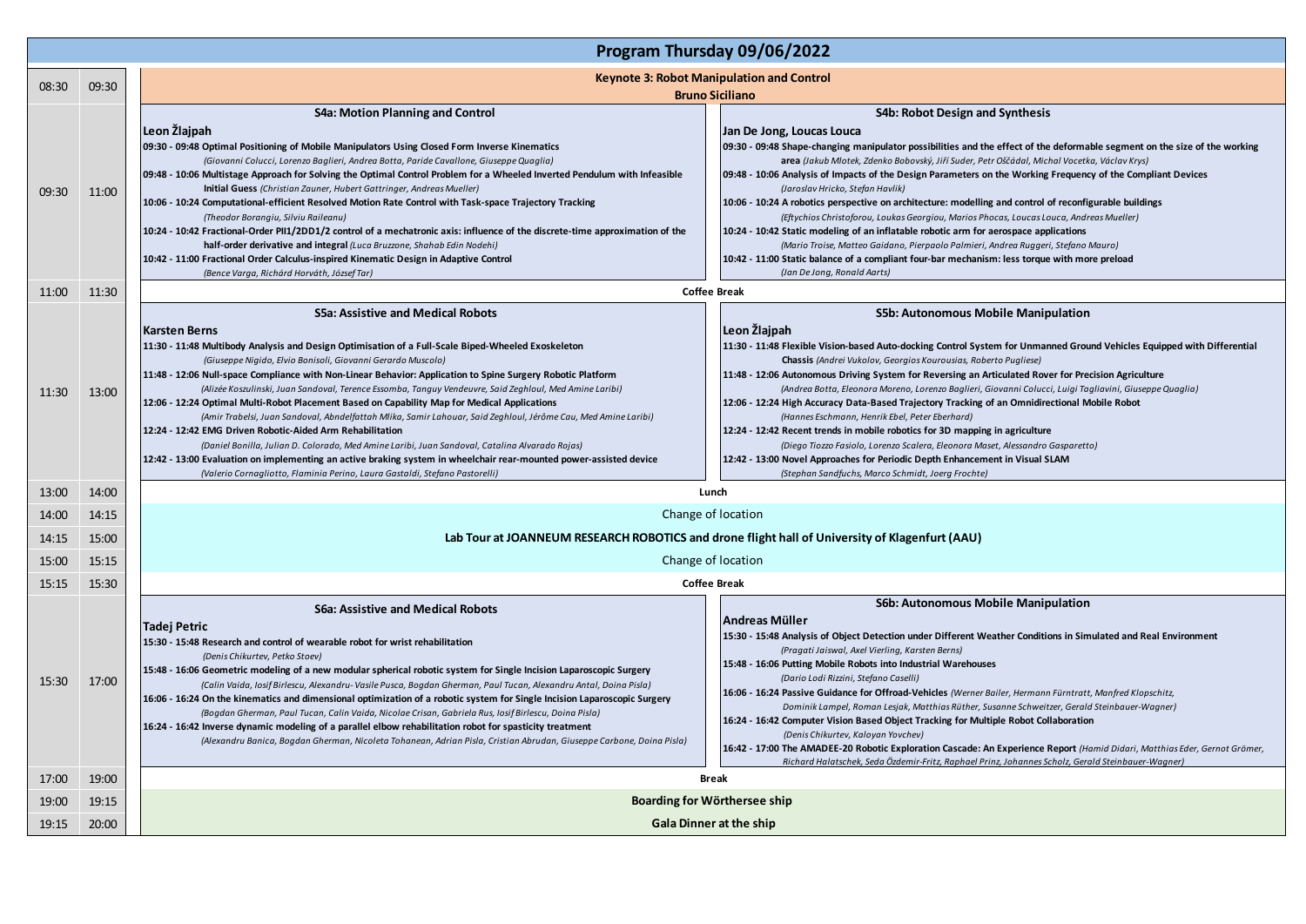|       | Program Thursday 09/06/2022 |                                                                                                                                                                                                                                                                                                                                                                                                                                                                                                                                                                                                                                                                                                                                                                                                                                                                                                                                                                                                                                                  |                                                                                                                                                                                                                                                                                                                                                                                                                                                                                                                                                                                                                                                                                                                                                                                                                                                                                                                                                                          |  |  |  |
|-------|-----------------------------|--------------------------------------------------------------------------------------------------------------------------------------------------------------------------------------------------------------------------------------------------------------------------------------------------------------------------------------------------------------------------------------------------------------------------------------------------------------------------------------------------------------------------------------------------------------------------------------------------------------------------------------------------------------------------------------------------------------------------------------------------------------------------------------------------------------------------------------------------------------------------------------------------------------------------------------------------------------------------------------------------------------------------------------------------|--------------------------------------------------------------------------------------------------------------------------------------------------------------------------------------------------------------------------------------------------------------------------------------------------------------------------------------------------------------------------------------------------------------------------------------------------------------------------------------------------------------------------------------------------------------------------------------------------------------------------------------------------------------------------------------------------------------------------------------------------------------------------------------------------------------------------------------------------------------------------------------------------------------------------------------------------------------------------|--|--|--|
| 08:30 | 09:30                       | <b>Keynote 3: Robot Manipulation and Control</b><br><b>Bruno Siciliano</b>                                                                                                                                                                                                                                                                                                                                                                                                                                                                                                                                                                                                                                                                                                                                                                                                                                                                                                                                                                       |                                                                                                                                                                                                                                                                                                                                                                                                                                                                                                                                                                                                                                                                                                                                                                                                                                                                                                                                                                          |  |  |  |
| 09:30 | 11:00                       | <b>S4a: Motion Planning and Control</b><br>Leon Žlajpah<br>09:30 - 09:48 Optimal Positioning of Mobile Manipulators Using Closed Form Inverse Kinematics<br>(Giovanni Colucci, Lorenzo Baglieri, Andrea Botta, Paride Cavallone, Giuseppe Quaglia)<br>09:48 - 10:06 Multistage Approach for Solving the Optimal Control Problem for a Wheeled Inverted Pendulum with Infeasible<br>Initial Guess (Christian Zauner, Hubert Gattringer, Andreas Mueller)<br>10:06 - 10:24 Computational-efficient Resolved Motion Rate Control with Task-space Trajectory Tracking<br>(Theodor Borangiu, Silviu Raileanu)<br>10:24 - 10:42 Fractional-Order PII1/2DD1/2 control of a mechatronic axis: influence of the discrete-time approximation of the<br>half-order derivative and integral (Luca Bruzzone, Shahab Edin Nodehi)<br>10:42 - 11:00 Fractional Order Calculus-inspired Kinematic Design in Adaptive Control<br>(Bence Varga, Richárd Horváth, József Tar)                                                                                       | <b>S4b: Robot Design and Synthesis</b><br>Jan De Jong, Loucas Louca<br>09:30 - 09:48 Shape-changing manipulator possibilities and the effect of the deformable segment on the size of the working<br>area (Jakub Mlotek, Zdenko Bobovský, Jiří Suder, Petr Oščádal, Michal Vocetka, Václav Krys)<br>09:48 - 10:06 Analysis of Impacts of the Design Parameters on the Working Frequency of the Compliant Devices<br>(Jaroslav Hricko, Stefan Havlik)<br>10:06 - 10:24 A robotics perspective on architecture: modelling and control of reconfigurable buildings<br>(Eftychios Christoforou, Loukas Georgiou, Marios Phocas, Loucas Louca, Andreas Mueller)<br>10:24 - 10:42 Static modeling of an inflatable robotic arm for aerospace applications<br>(Mario Troise, Matteo Gaidano, Pierpaolo Palmieri, Andrea Ruggeri, Stefano Mauro)<br>10:42 - 11:00 Static balance of a compliant four-bar mechanism: less torque with more preload<br>(Jan De Jong, Ronald Aarts) |  |  |  |
| 11:00 | 11:30                       |                                                                                                                                                                                                                                                                                                                                                                                                                                                                                                                                                                                                                                                                                                                                                                                                                                                                                                                                                                                                                                                  | <b>Coffee Break</b>                                                                                                                                                                                                                                                                                                                                                                                                                                                                                                                                                                                                                                                                                                                                                                                                                                                                                                                                                      |  |  |  |
| 11:30 | 13:00                       | <b>S5a: Assistive and Medical Robots</b><br> Karsten Berns <br>11:30 - 11:48 Multibody Analysis and Design Optimisation of a Full-Scale Biped-Wheeled Exoskeleton<br>(Giuseppe Nigido, Elvio Bonisoli, Giovanni Gerardo Muscolo)<br>11:48 - 12:06 Null-space Compliance with Non-Linear Behavior: Application to Spine Surgery Robotic Platform<br>(Alizée Koszulinski, Juan Sandoval, Terence Essomba, Tanguy Vendeuvre, Said Zeghloul, Med Amine Laribi)<br>12:06 - 12:24 Optimal Multi-Robot Placement Based on Capability Map for Medical Applications<br>(Amir Trabelsi, Juan Sandoval, Abndelfattah Mlika, Samir Lahouar, Said Zeghloul, Jérôme Cau, Med Amine Laribi)<br>12:24 - 12:42 EMG Driven Robotic-Aided Arm Rehabilitation<br>(Daniel Bonilla, Julian D. Colorado, Med Amine Laribi, Juan Sandoval, Catalina Alvarado Rojas)<br>12:42 - 13:00 Evaluation on implementing an active braking system in wheelchair rear-mounted power-assisted device<br>(Valerio Cornagliotto, Flaminia Perino, Laura Gastaldi, Stefano Pastorelli) | S5b: Autonomous Mobile Manipulation<br>Leon Žlajpah<br>11:30 - 11:48 Flexible Vision-based Auto-docking Control System for Unmanned Ground Vehicles Equipped with Differential<br>Chassis (Andrei Vukolov, Georgios Kourousias, Roberto Pugliese)<br>11:48 - 12:06 Autonomous Driving System for Reversing an Articulated Rover for Precision Agriculture<br>(Andrea Botta, Eleonora Moreno, Lorenzo Baglieri, Giovanni Colucci, Luigi Tagliavini, Giuseppe Quaglia)<br>12:06 - 12:24 High Accuracy Data-Based Trajectory Tracking of an Omnidirectional Mobile Robot<br>(Hannes Eschmann, Henrik Ebel, Peter Eberhard)<br>12:24 - 12:42 Recent trends in mobile robotics for 3D mapping in agriculture<br>(Diego Tiozzo Fasiolo, Lorenzo Scalera, Eleonora Maset, Alessandro Gasparetto)<br>12:42 - 13:00 Novel Approaches for Periodic Depth Enhancement in Visual SLAM<br>(Stephan Sandfuchs, Marco Schmidt, Joerg Frochte)                                           |  |  |  |
| 13:00 | 14:00                       | Lunch                                                                                                                                                                                                                                                                                                                                                                                                                                                                                                                                                                                                                                                                                                                                                                                                                                                                                                                                                                                                                                            |                                                                                                                                                                                                                                                                                                                                                                                                                                                                                                                                                                                                                                                                                                                                                                                                                                                                                                                                                                          |  |  |  |
| 14:00 | 14:15                       | Change of location                                                                                                                                                                                                                                                                                                                                                                                                                                                                                                                                                                                                                                                                                                                                                                                                                                                                                                                                                                                                                               |                                                                                                                                                                                                                                                                                                                                                                                                                                                                                                                                                                                                                                                                                                                                                                                                                                                                                                                                                                          |  |  |  |
| 14:15 | 15:00                       |                                                                                                                                                                                                                                                                                                                                                                                                                                                                                                                                                                                                                                                                                                                                                                                                                                                                                                                                                                                                                                                  | Lab Tour at JOANNEUM RESEARCH ROBOTICS and drone flight hall of University of Klagenfurt (AAU)                                                                                                                                                                                                                                                                                                                                                                                                                                                                                                                                                                                                                                                                                                                                                                                                                                                                           |  |  |  |
| 15:00 | 15:15                       |                                                                                                                                                                                                                                                                                                                                                                                                                                                                                                                                                                                                                                                                                                                                                                                                                                                                                                                                                                                                                                                  | Change of location                                                                                                                                                                                                                                                                                                                                                                                                                                                                                                                                                                                                                                                                                                                                                                                                                                                                                                                                                       |  |  |  |
| 15:15 | 15:30                       |                                                                                                                                                                                                                                                                                                                                                                                                                                                                                                                                                                                                                                                                                                                                                                                                                                                                                                                                                                                                                                                  | <b>Coffee Break</b>                                                                                                                                                                                                                                                                                                                                                                                                                                                                                                                                                                                                                                                                                                                                                                                                                                                                                                                                                      |  |  |  |
| 15:30 | 17:00                       | <b>S6a: Assistive and Medical Robots</b><br> Tadej Petric<br>15:30 - 15:48 Research and control of wearable robot for wrist rehabilitation<br>(Denis Chikurtev, Petko Stoev)<br>15:48 - 16:06 Geometric modeling of a new modular spherical robotic system for Single Incision Laparoscopic Surgery<br>(Calin Vaida, Iosif Birlescu, Alexandru-Vasile Pusca, Bogdan Gherman, Paul Tucan, Alexandru Antal, Doina Pisla)<br>16:06 - 16:24 On the kinematics and dimensional optimization of a robotic system for Single Incision Laparoscopic Surgery<br>(Bogdan Gherman, Paul Tucan, Calin Vaida, Nicolae Crisan, Gabriela Rus, Iosif Birlescu, Doina Pisla)<br>16:24 - 16:42 Inverse dynamic modeling of a parallel elbow rehabilitation robot for spasticity treatment<br>(Alexandru Banica, Bogdan Gherman, Nicoleta Tohanean, Adrian Pisla, Cristian Abrudan, Giuseppe Carbone, Doina Pisla)                                                                                                                                                  | S6b: Autonomous Mobile Manipulation<br>Andreas Müller<br>15:30 - 15:48 Analysis of Object Detection under Different Weather Conditions in Simulated and Real Environment<br>(Pragati Jaiswal, Axel Vierling, Karsten Berns)<br>15:48 - 16:06 Putting Mobile Robots into Industrial Warehouses<br>(Dario Lodi Rizzini, Stefano Caselli)<br>16:06 - 16:24 Passive Guidance for Offroad-Vehicles (Werner Bailer, Hermann Fürntratt, Manfred Klopschitz,<br>Dominik Lampel, Roman Lesjak, Matthias Rüther, Susanne Schweitzer, Gerald Steinbauer-Wagner)<br>16:24 - 16:42 Computer Vision Based Object Tracking for Multiple Robot Collaboration<br>(Denis Chikurtev, Kaloyan Yovchev)<br>16:42 - 17:00 The AMADEE-20 Robotic Exploration Cascade: An Experience Report (Hamid Didari, Matthias Eder, Gernot Grömer,<br>Richard Halatschek, Seda Özdemir-Fritz, Raphael Prinz, Johannes Scholz, Gerald Steinbauer-Wagner)                                                    |  |  |  |
| 17:00 | 19:00                       |                                                                                                                                                                                                                                                                                                                                                                                                                                                                                                                                                                                                                                                                                                                                                                                                                                                                                                                                                                                                                                                  | <b>Break</b>                                                                                                                                                                                                                                                                                                                                                                                                                                                                                                                                                                                                                                                                                                                                                                                                                                                                                                                                                             |  |  |  |
| 19:00 | 19:15                       | Boarding for Wörthersee ship                                                                                                                                                                                                                                                                                                                                                                                                                                                                                                                                                                                                                                                                                                                                                                                                                                                                                                                                                                                                                     |                                                                                                                                                                                                                                                                                                                                                                                                                                                                                                                                                                                                                                                                                                                                                                                                                                                                                                                                                                          |  |  |  |
| 19:15 | 20:00                       | <b>Gala Dinner at the ship</b>                                                                                                                                                                                                                                                                                                                                                                                                                                                                                                                                                                                                                                                                                                                                                                                                                                                                                                                                                                                                                   |                                                                                                                                                                                                                                                                                                                                                                                                                                                                                                                                                                                                                                                                                                                                                                                                                                                                                                                                                                          |  |  |  |